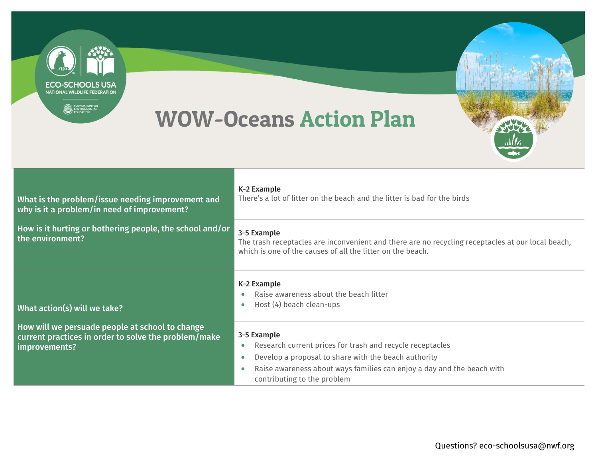